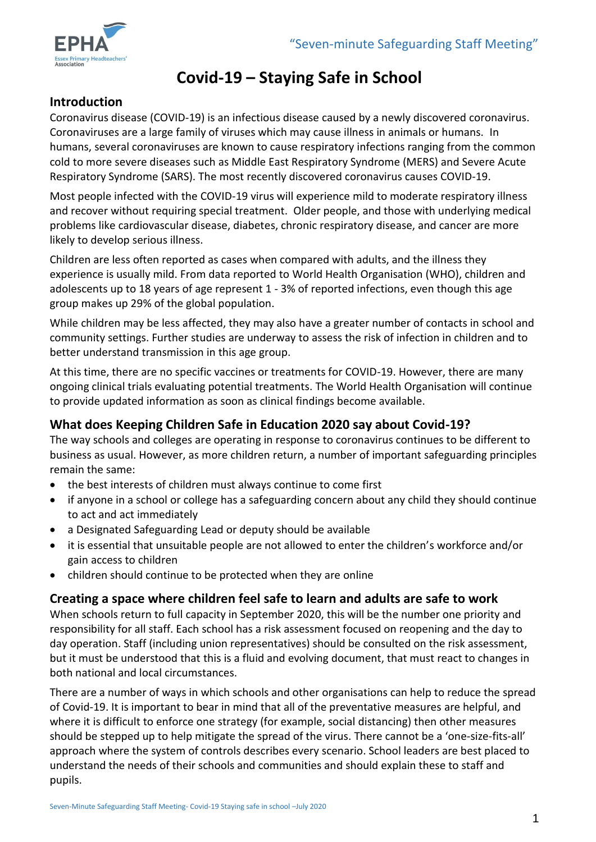

# **Covid-19 – Staying Safe in School**

### **Introduction**

Coronavirus disease (COVID-19) is an infectious disease caused by a newly discovered coronavirus. Coronaviruses are a large family of viruses which may cause illness in animals or humans. In humans, several coronaviruses are known to cause respiratory infections ranging from the common cold to more severe diseases such as Middle East Respiratory Syndrome (MERS) and Severe Acute Respiratory Syndrome (SARS). The most recently discovered coronavirus causes COVID-19.

Most people infected with the COVID-19 virus will experience mild to moderate respiratory illness and recover without requiring special treatment. Older people, and those with underlying medical problems like cardiovascular disease, diabetes, chronic respiratory disease, and cancer are more likely to develop serious illness.

Children are less often reported as cases when compared with adults, and the illness they experience is usually mild. From data reported to World Health Organisation (WHO), children and adolescents up to 18 years of age represent 1 - 3% of reported infections, even though this age group makes up 29% of the global population.

While children may be less affected, they may also have a greater number of contacts in school and community settings. Further studies are underway to assess the risk of infection in children and to better understand transmission in this age group.

At this time, there are no specific vaccines or treatments for COVID-19. However, there are many ongoing clinical trials evaluating potential treatments. The World Health Organisation will continue to provide updated information as soon as clinical findings become available.

### **What does Keeping Children Safe in Education 2020 say about Covid-19?**

The way schools and colleges are operating in response to coronavirus continues to be different to business as usual. However, as more children return, a number of important safeguarding principles remain the same:

- the best interests of children must always continue to come first
- if anyone in a school or college has a safeguarding concern about any child they should continue to act and act immediately
- a Designated Safeguarding Lead or deputy should be available
- it is essential that unsuitable people are not allowed to enter the children's workforce and/or gain access to children
- children should continue to be protected when they are online

#### **Creating a space where children feel safe to learn and adults are safe to work**

When schools return to full capacity in September 2020, this will be the number one priority and responsibility for all staff. Each school has a risk assessment focused on reopening and the day to day operation. Staff (including union representatives) should be consulted on the risk assessment, but it must be understood that this is a fluid and evolving document, that must react to changes in both national and local circumstances.

There are a number of ways in which schools and other organisations can help to reduce the spread of Covid-19. It is important to bear in mind that all of the preventative measures are helpful, and where it is difficult to enforce one strategy (for example, social distancing) then other measures should be stepped up to help mitigate the spread of the virus. There cannot be a 'one-size-fits-all' approach where the system of controls describes every scenario. School leaders are best placed to understand the needs of their schools and communities and should explain these to staff and pupils.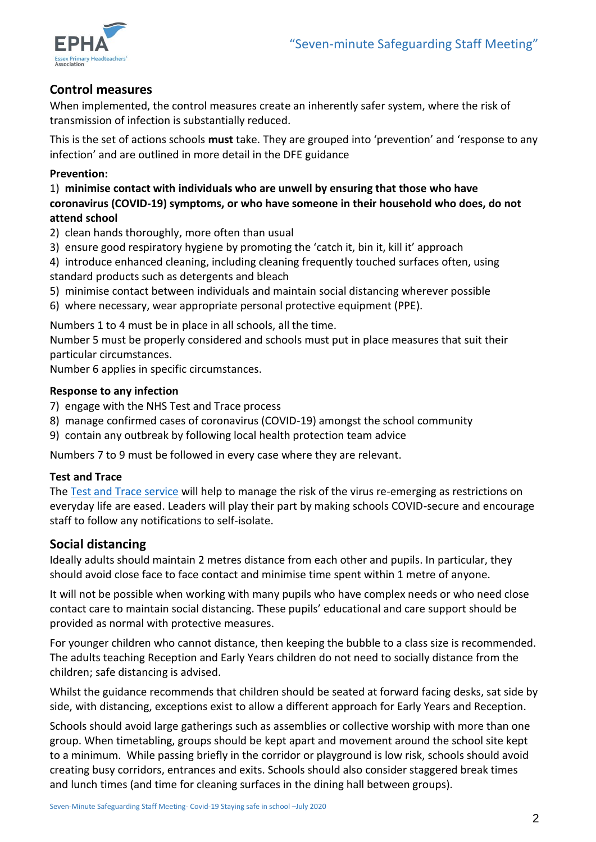

#### **Control measures**

When implemented, the control measures create an inherently safer system, where the risk of transmission of infection is substantially reduced.

This is the set of actions schools **must** take. They are grouped into 'prevention' and 'response to any infection' and are outlined in more detail in the DFE guidance

#### **Prevention:**

1) **minimise contact with individuals who are unwell by ensuring that those who have coronavirus (COVID-19) symptoms, or who have someone in their household who does, do not attend school**

- 2) clean hands thoroughly, more often than usual
- 3) ensure good respiratory hygiene by promoting the 'catch it, bin it, kill it' approach
- 4) introduce enhanced cleaning, including cleaning frequently touched surfaces often, using standard products such as detergents and bleach
- 5) minimise contact between individuals and maintain social distancing wherever possible
- 6) where necessary, wear appropriate personal protective equipment (PPE).

Numbers 1 to 4 must be in place in all schools, all the time.

Number 5 must be properly considered and schools must put in place measures that suit their particular circumstances.

Number 6 applies in specific circumstances.

#### **Response to any infection**

- 7) engage with the NHS Test and Trace process
- 8) manage confirmed cases of coronavirus (COVID-19) amongst the school community
- 9) contain any outbreak by following local health protection team advice

Numbers 7 to 9 must be followed in every case where they are relevant.

#### **Test and Trace**

The [Test and Trace service](https://www.nhs.uk/conditions/coronavirus-covid-19/testing-and-tracing/) will help to manage the risk of the virus re-emerging as restrictions on everyday life are eased. Leaders will play their part by making schools COVID-secure and encourage staff to follow any notifications to self-isolate.

#### **Social distancing**

Ideally adults should maintain 2 metres distance from each other and pupils. In particular, they should avoid close face to face contact and minimise time spent within 1 metre of anyone.

It will not be possible when working with many pupils who have complex needs or who need close contact care to maintain social distancing. These pupils' educational and care support should be provided as normal with protective measures.

For younger children who cannot distance, then keeping the bubble to a class size is recommended. The adults teaching Reception and Early Years children do not need to socially distance from the children; safe distancing is advised.

Whilst the guidance recommends that children should be seated at forward facing desks, sat side by side, with distancing, exceptions exist to allow a different approach for Early Years and Reception.

Schools should avoid large gatherings such as assemblies or collective worship with more than one group. When timetabling, groups should be kept apart and movement around the school site kept to a minimum. While passing briefly in the corridor or playground is low risk, schools should avoid creating busy corridors, entrances and exits. Schools should also consider staggered break times and lunch times (and time for cleaning surfaces in the dining hall between groups).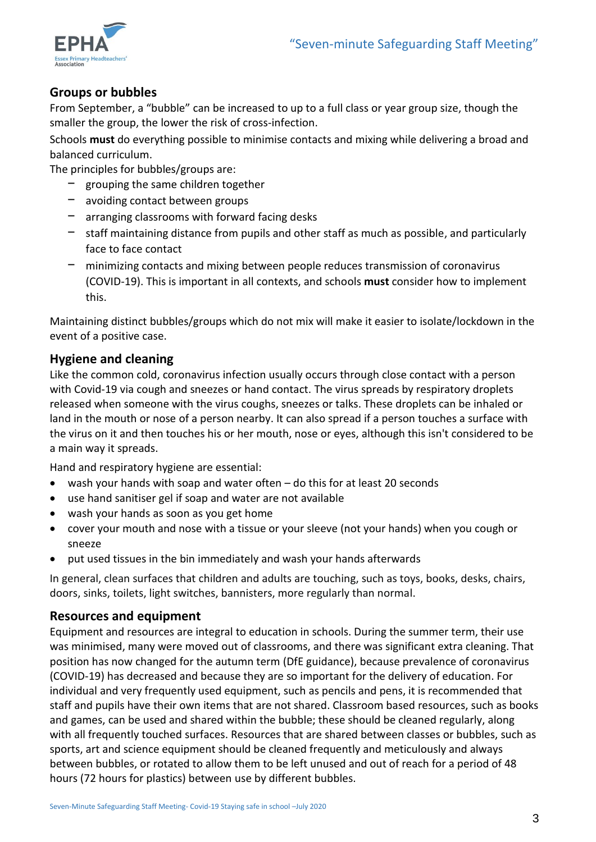

### **Groups or bubbles**

From September, a "bubble" can be increased to up to a full class or year group size, though the smaller the group, the lower the risk of cross-infection.

Schools **must** do everything possible to minimise contacts and mixing while delivering a broad and balanced curriculum.

The principles for bubbles/groups are:

- ꟷ grouping the same children together
- avoiding contact between groups
- $-$  arranging classrooms with forward facing desks
- $-$  staff maintaining distance from pupils and other staff as much as possible, and particularly face to face contact
- ꟷ minimizing contacts and mixing between people reduces transmission of coronavirus (COVID-19). This is important in all contexts, and schools **must** consider how to implement this.

Maintaining distinct bubbles/groups which do not mix will make it easier to isolate/lockdown in the event of a positive case.

### **Hygiene and cleaning**

Like the common cold, coronavirus infection usually occurs through close contact with a person with Covid-19 via cough and sneezes or hand contact. The virus spreads by respiratory droplets released when someone with the virus coughs, sneezes or talks. These droplets can be inhaled or land in the mouth or nose of a person nearby. It can also spread if a person touches a surface with the virus on it and then touches his or her mouth, nose or eyes, although this isn't considered to be a main way it spreads.

Hand and respiratory hygiene are essential:

- wash your hands with soap and water often do this for at least 20 seconds
- use hand sanitiser gel if soap and water are not available
- wash your hands as soon as you get home
- cover your mouth and nose with a tissue or your sleeve (not your hands) when you cough or sneeze
- put used tissues in the bin immediately and wash your hands afterwards

In general, clean surfaces that children and adults are touching, such as toys, books, desks, chairs, doors, sinks, toilets, light switches, bannisters, more regularly than normal.

#### **Resources and equipment**

Equipment and resources are integral to education in schools. During the summer term, their use was minimised, many were moved out of classrooms, and there was significant extra cleaning. That position has now changed for the autumn term (DfE guidance), because prevalence of coronavirus (COVID-19) has decreased and because they are so important for the delivery of education. For individual and very frequently used equipment, such as pencils and pens, it is recommended that staff and pupils have their own items that are not shared. Classroom based resources, such as books and games, can be used and shared within the bubble; these should be cleaned regularly, along with all frequently touched surfaces. Resources that are shared between classes or bubbles, such as sports, art and science equipment should be cleaned frequently and meticulously and always between bubbles, or rotated to allow them to be left unused and out of reach for a period of 48 hours (72 hours for plastics) between use by different bubbles.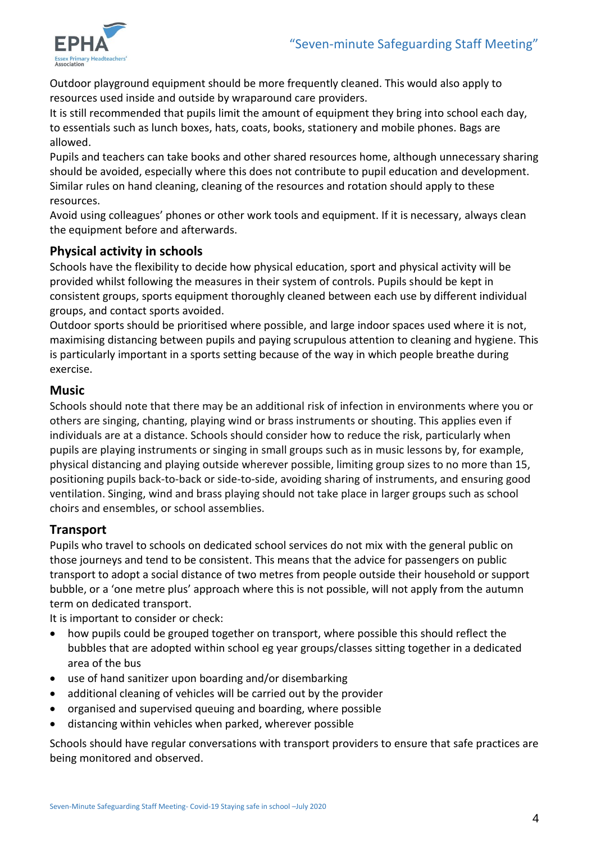

Outdoor playground equipment should be more frequently cleaned. This would also apply to resources used inside and outside by wraparound care providers.

It is still recommended that pupils limit the amount of equipment they bring into school each day, to essentials such as lunch boxes, hats, coats, books, stationery and mobile phones. Bags are allowed.

Pupils and teachers can take books and other shared resources home, although unnecessary sharing should be avoided, especially where this does not contribute to pupil education and development. Similar rules on hand cleaning, cleaning of the resources and rotation should apply to these resources.

Avoid using colleagues' phones or other work tools and equipment. If it is necessary, always clean the equipment before and afterwards.

### **Physical activity in schools**

Schools have the flexibility to decide how physical education, sport and physical activity will be provided whilst following the measures in their system of controls. Pupils should be kept in consistent groups, sports equipment thoroughly cleaned between each use by different individual groups, and contact sports avoided.

Outdoor sports should be prioritised where possible, and large indoor spaces used where it is not, maximising distancing between pupils and paying scrupulous attention to cleaning and hygiene. This is particularly important in a sports setting because of the way in which people breathe during exercise.

#### **Music**

Schools should note that there may be an additional risk of infection in environments where you or others are singing, chanting, playing wind or brass instruments or shouting. This applies even if individuals are at a distance. Schools should consider how to reduce the risk, particularly when pupils are playing instruments or singing in small groups such as in music lessons by, for example, physical distancing and playing outside wherever possible, limiting group sizes to no more than 15, positioning pupils back-to-back or side-to-side, avoiding sharing of instruments, and ensuring good ventilation. Singing, wind and brass playing should not take place in larger groups such as school choirs and ensembles, or school assemblies.

### **Transport**

Pupils who travel to schools on dedicated school services do not mix with the general public on those journeys and tend to be consistent. This means that the advice for passengers on public transport to adopt a social distance of two metres from people outside their household or support bubble, or a 'one metre plus' approach where this is not possible, will not apply from the autumn term on dedicated transport.

It is important to consider or check:

- how pupils could be grouped together on transport, where possible this should reflect the bubbles that are adopted within school eg year groups/classes sitting together in a dedicated area of the bus
- use of hand sanitizer upon boarding and/or disembarking
- additional cleaning of vehicles will be carried out by the provider
- organised and supervised queuing and boarding, where possible
- distancing within vehicles when parked, wherever possible

Schools should have regular conversations with transport providers to ensure that safe practices are being monitored and observed.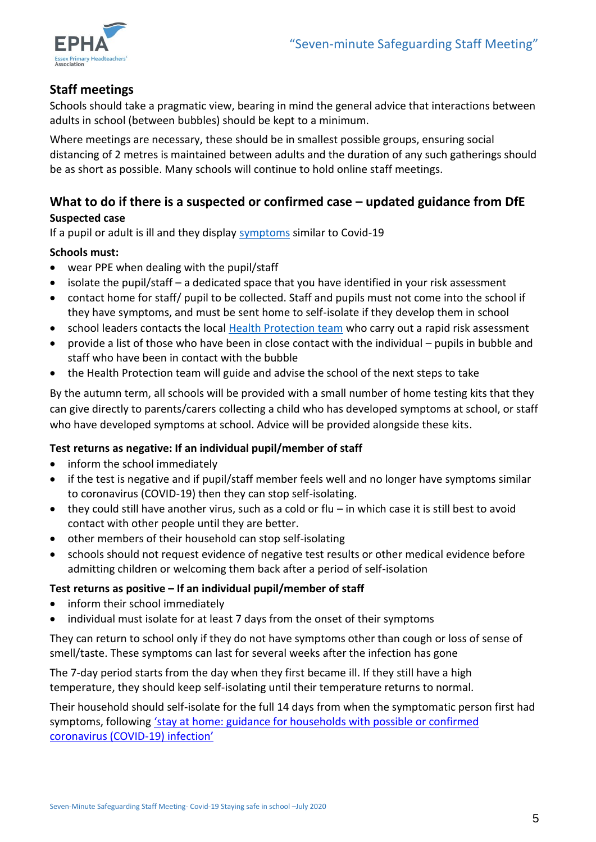

### **Staff meetings**

Schools should take a pragmatic view, bearing in mind the general advice that interactions between adults in school (between bubbles) should be kept to a minimum.

Where meetings are necessary, these should be in smallest possible groups, ensuring social distancing of 2 metres is maintained between adults and the duration of any such gatherings should be as short as possible. Many schools will continue to hold online staff meetings.

### **What to do if there is a suspected or confirmed case – updated guidance from DfE Suspected case**

If a pupil or adult is ill and they display [symptoms](https://www.nhs.uk/conditions/coronavirus-covid-19/) similar to Covid-19

#### **Schools must:**

- wear PPE when dealing with the pupil/staff
- isolate the pupil/staff a dedicated space that you have identified in your risk assessment
- contact home for staff/ pupil to be collected. Staff and pupils must not come into the school if they have symptoms, and must be sent home to self-isolate if they develop them in school
- school leaders contacts the local [Health Protection team](https://www.gov.uk/health-protection-team) who carry out a rapid risk assessment
- provide a list of those who have been in close contact with the individual pupils in bubble and staff who have been in contact with the bubble
- the Health Protection team will guide and advise the school of the next steps to take

By the autumn term, all schools will be provided with a small number of home testing kits that they can give directly to parents/carers collecting a child who has developed symptoms at school, or staff who have developed symptoms at school. Advice will be provided alongside these kits.

#### **Test returns as negative: If an individual pupil/member of staff**

- inform the school immediately
- if the test is negative and if pupil/staff member feels well and no longer have symptoms similar to coronavirus (COVID-19) then they can stop self-isolating.
- they could still have another virus, such as a cold or flu in which case it is still best to avoid contact with other people until they are better.
- other members of their household can stop self-isolating
- schools should not request evidence of negative test results or other medical evidence before admitting children or welcoming them back after a period of self-isolation

#### **Test returns as positive – If an individual pupil/member of staff**

- inform their school immediately
- individual must isolate for at least 7 days from the onset of their symptoms

They can return to school only if they do not have symptoms other than cough or loss of sense of smell/taste. These symptoms can last for several weeks after the infection has gone

The 7-day period starts from the day when they first became ill. If they still have a high temperature, they should keep self-isolating until their temperature returns to normal.

Their household should self-isolate for the full 14 days from when the symptomatic person first had symptoms, following 'stay at home: guidance for households with possible or confirmed [coronavirus \(COVID-](https://www.gov.uk/government/publications/covid-19-stay-at-home-guidance)19) infection'